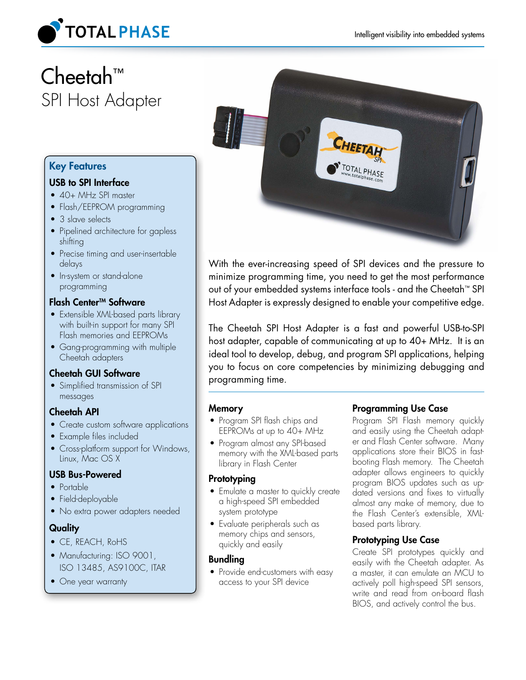

# Cheetah™ SPI Host Adapter

### Key Features

### USB to SPI Interface

- 40+ MHz SPI master
- Flash/EEPROM programming
- 3 slave selects
- Pipelined architecture for gapless shifting
- Precise timing and user-insertable delays
- In-system or stand-alone programming

### Flash Center™ Software

- Extensible XML-based parts library with built-in support for many SPI Flash memories and EEPROMs
- Gang-programming with multiple Cheetah adapters

### Cheetah GUI Software

• Simplified transmission of SPI messages

### Cheetah API

- Create custom software applications
- Example files included
- Cross-platform support for Windows, Linux, Mac OS X

### USB Bus-Powered

- Portable
- Field-deployable
- No extra power adapters needed

### **Quality**

- CE, REACH, RoHS
- Manufacturing: ISO 9001, ISO 13485, AS9100C, ITAR
- One year warranty



With the ever-increasing speed of SPI devices and the pressure to minimize programming time, you need to get the most performance out of your embedded systems interface tools - and the Cheetah™ SPI Host Adapter is expressly designed to enable your competitive edge.

The Cheetah SPI Host Adapter is a fast and powerful USB-to-SPI host adapter, capable of communicating at up to 40+ MHz. It is an ideal tool to develop, debug, and program SPI applications, helping you to focus on core competencies by minimizing debugging and programming time.

### **Memory**

- Program SPI flash chips and EEPROMs at up to 40+ MHz
- Program almost any SPI-based memory with the XML-based parts library in Flash Center

### **Prototyping**

- Emulate a master to quickly create a high-speed SPI embedded system prototype
- Evaluate peripherals such as memory chips and sensors, quickly and easily

### Bundling

• Provide end-customers with easy access to your SPI device

### Programming Use Case

Program SPI Flash memory quickly and easily using the Cheetah adapter and Flash Center software. Many applications store their BIOS in fastbooting Flash memory. The Cheetah adapter allows engineers to quickly program BIOS updates such as updated versions and fixes to virtually almost any make of memory, due to the Flash Center's extensible, XMLbased parts library.

### Prototyping Use Case

Create SPI prototypes quickly and easily with the Cheetah adapter. As a master, it can emulate an MCU to actively poll high-speed SPI sensors, write and read from on-board flash BIOS, and actively control the bus.